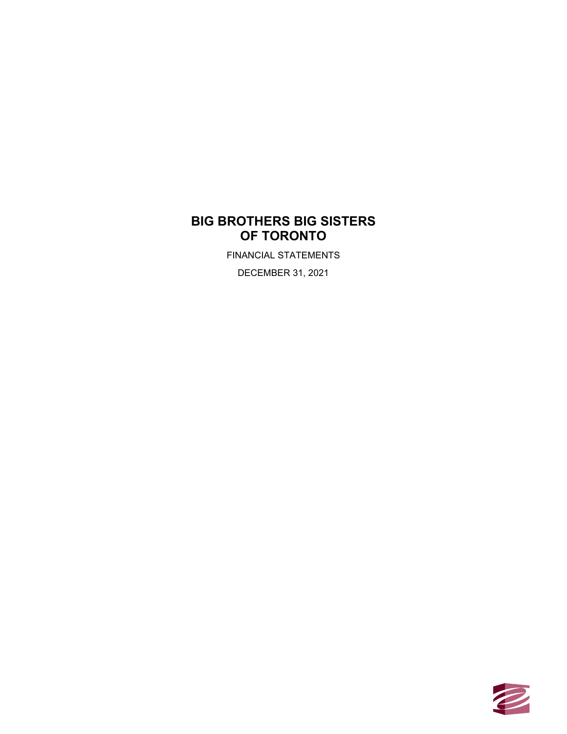FINANCIAL STATEMENTS

DECEMBER 31, 2021

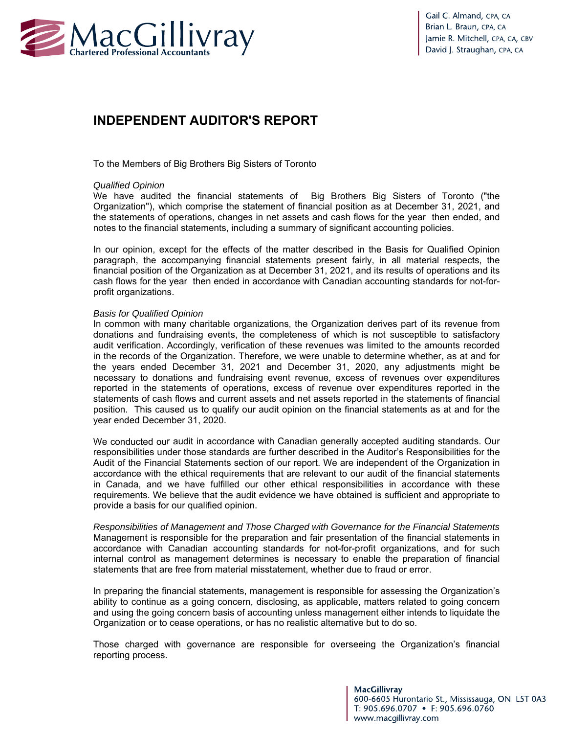

# **INDEPENDENT AUDITOR'S REPORT**

To the Members of Big Brothers Big Sisters of Toronto

#### *Qualified Opinion*

We have audited the financial statements of Big Brothers Big Sisters of Toronto ("the Organization"), which comprise the statement of financial position as at December 31, 2021, and the statements of operations, changes in net assets and cash flows for the year then ended, and notes to the financial statements, including a summary of significant accounting policies.

In our opinion, except for the effects of the matter described in the Basis for Qualified Opinion paragraph, the accompanying financial statements present fairly, in all material respects, the financial position of the Organization as at December 31, 2021, and its results of operations and its cash flows for the year then ended in accordance with Canadian accounting standards for not-forprofit organizations.

#### *Basis for Qualified Opinion*

In common with many charitable organizations, the Organization derives part of its revenue from donations and fundraising events, the completeness of which is not susceptible to satisfactory audit verification. Accordingly, verification of these revenues was limited to the amounts recorded in the records of the Organization. Therefore, we were unable to determine whether, as at and for the years ended December 31, 2021 and December 31, 2020, any adjustments might be necessary to donations and fundraising event revenue, excess of revenues over expenditures reported in the statements of operations, excess of revenue over expenditures reported in the statements of cash flows and current assets and net assets reported in the statements of financial position. This caused us to qualify our audit opinion on the financial statements as at and for the year ended December 31, 2020.

We conducted our audit in accordance with Canadian generally accepted auditing standards. Our responsibilities under those standards are further described in the Auditor's Responsibilities for the Audit of the Financial Statements section of our report. We are independent of the Organization in accordance with the ethical requirements that are relevant to our audit of the financial statements in Canada, and we have fulfilled our other ethical responsibilities in accordance with these requirements. We believe that the audit evidence we have obtained is sufficient and appropriate to provide a basis for our qualified opinion.

*Responsibilities of Management and Those Charged with Governance for the Financial Statements* Management is responsible for the preparation and fair presentation of the financial statements in accordance with Canadian accounting standards for not-for-profit organizations, and for such internal control as management determines is necessary to enable the preparation of financial statements that are free from material misstatement, whether due to fraud or error.

In preparing the financial statements, management is responsible for assessing the Organization's ability to continue as a going concern, disclosing, as applicable, matters related to going concern and using the going concern basis of accounting unless management either intends to liquidate the Organization or to cease operations, or has no realistic alternative but to do so.

Those charged with governance are responsible for overseeing the Organization's financial reporting process.

> **MacGillivray** 600-6605 Hurontario St., Mississauga, ON L5T 0A3 T: 905.696.0707 • F: 905.696.0760 www.macgillivray.com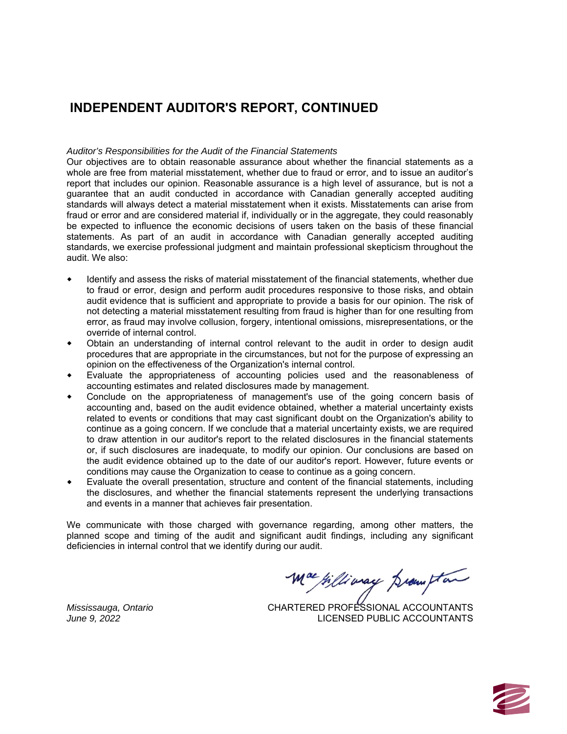# **INDEPENDENT AUDITOR'S REPORT, CONTINUED**

#### *Auditor's Responsibilities for the Audit of the Financial Statements*

Our objectives are to obtain reasonable assurance about whether the financial statements as a whole are free from material misstatement, whether due to fraud or error, and to issue an auditor's report that includes our opinion. Reasonable assurance is a high level of assurance, but is not a guarantee that an audit conducted in accordance with Canadian generally accepted auditing standards will always detect a material misstatement when it exists. Misstatements can arise from fraud or error and are considered material if, individually or in the aggregate, they could reasonably be expected to influence the economic decisions of users taken on the basis of these financial statements. As part of an audit in accordance with Canadian generally accepted auditing standards, we exercise professional judgment and maintain professional skepticism throughout the audit. We also:

- Identify and assess the risks of material misstatement of the financial statements, whether due to fraud or error, design and perform audit procedures responsive to those risks, and obtain audit evidence that is sufficient and appropriate to provide a basis for our opinion. The risk of not detecting a material misstatement resulting from fraud is higher than for one resulting from error, as fraud may involve collusion, forgery, intentional omissions, misrepresentations, or the override of internal control.
- Obtain an understanding of internal control relevant to the audit in order to design audit procedures that are appropriate in the circumstances, but not for the purpose of expressing an opinion on the effectiveness of the Organization's internal control.
- Evaluate the appropriateness of accounting policies used and the reasonableness of accounting estimates and related disclosures made by management.
- Conclude on the appropriateness of management's use of the going concern basis of accounting and, based on the audit evidence obtained, whether a material uncertainty exists related to events or conditions that may cast significant doubt on the Organization's ability to continue as a going concern. If we conclude that a material uncertainty exists, we are required to draw attention in our auditor's report to the related disclosures in the financial statements or, if such disclosures are inadequate, to modify our opinion. Our conclusions are based on the audit evidence obtained up to the date of our auditor's report. However, future events or conditions may cause the Organization to cease to continue as a going concern.
- Evaluate the overall presentation, structure and content of the financial statements, including the disclosures, and whether the financial statements represent the underlying transactions and events in a manner that achieves fair presentation.

We communicate with those charged with governance regarding, among other matters, the planned scope and timing of the audit and significant audit findings, including any significant deficiencies in internal control that we identify during our audit.

Williamay promptan

CHARTERED PROFESSIONAL ACCOUNTANTS LICENSED PUBLIC ACCOUNTANTS



*Mississauga, Ontario June 9, 2022*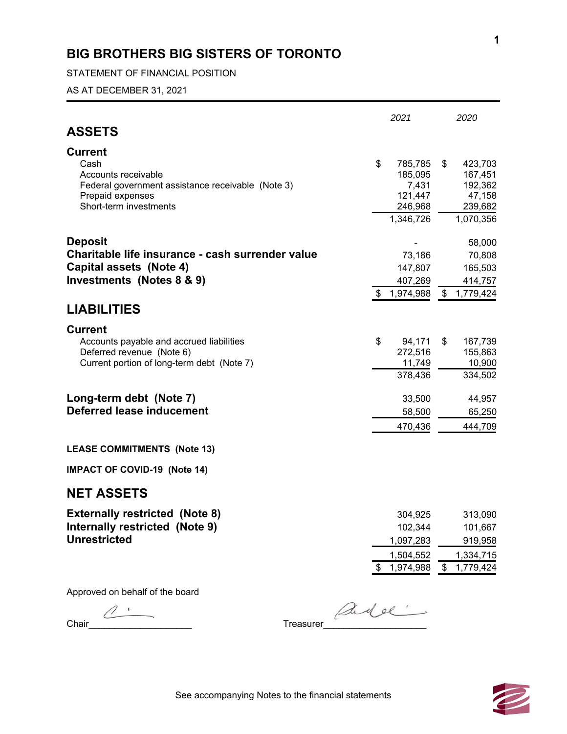STATEMENT OF FINANCIAL POSITION

AS AT DECEMBER 31, 2021

|                                                                                                                     |      | 2021                        | 2020                               |
|---------------------------------------------------------------------------------------------------------------------|------|-----------------------------|------------------------------------|
| <b>ASSETS</b>                                                                                                       |      |                             |                                    |
| <b>Current</b><br>Cash                                                                                              | \$   | 785,785                     | \$<br>423,703                      |
| Accounts receivable<br>Federal government assistance receivable (Note 3)<br>Prepaid expenses                        |      | 185,095<br>7,431<br>121,447 | 167,451<br>192,362<br>47,158       |
| Short-term investments                                                                                              |      | 246,968<br>1,346,726        | 239,682<br>1,070,356               |
| <b>Deposit</b>                                                                                                      |      |                             | 58,000                             |
| Charitable life insurance - cash surrender value<br>Capital assets (Note 4)                                         |      | 73,186<br>147,807           | 70,808<br>165,503                  |
| Investments (Notes 8 & 9)                                                                                           |      | 407,269                     | 414,757                            |
| <b>LIABILITIES</b>                                                                                                  |      | \$1,974,988                 | \$1,779,424                        |
| <b>Current</b>                                                                                                      |      |                             |                                    |
| Accounts payable and accrued liabilities<br>Deferred revenue (Note 6)<br>Current portion of long-term debt (Note 7) | \$   | 94,171<br>272,516<br>11,749 | \$<br>167,739<br>155,863<br>10,900 |
|                                                                                                                     |      | 378,436                     | 334,502                            |
| Long-term debt (Note 7)                                                                                             |      | 33,500                      | 44,957                             |
| Deferred lease inducement                                                                                           |      | 58,500                      | 65,250                             |
|                                                                                                                     |      | 470,436                     | 444,709                            |
| <b>LEASE COMMITMENTS (Note 13)</b>                                                                                  |      |                             |                                    |
| <b>IMPACT OF COVID-19 (Note 14)</b>                                                                                 |      |                             |                                    |
| <b>NET ASSETS</b>                                                                                                   |      |                             |                                    |
| <b>Externally restricted (Note 8)</b>                                                                               |      | 304,925                     | 313,090                            |
| Internally restricted (Note 9)<br><b>Unrestricted</b>                                                               |      | 102,344<br>1,097,283        | 101,667                            |
|                                                                                                                     |      | 1,504,552                   | 919,958<br>1,334,715               |
|                                                                                                                     | \$   | 1,974,988                   | \$<br>1,779,424                    |
| Approved on behalf of the board                                                                                     |      |                             |                                    |
|                                                                                                                     | adel |                             |                                    |

Chair\_\_\_\_\_\_\_\_\_\_\_\_\_\_\_\_\_\_\_\_ Treasurer\_\_\_\_\_\_\_\_\_\_\_\_\_\_\_\_\_\_\_\_

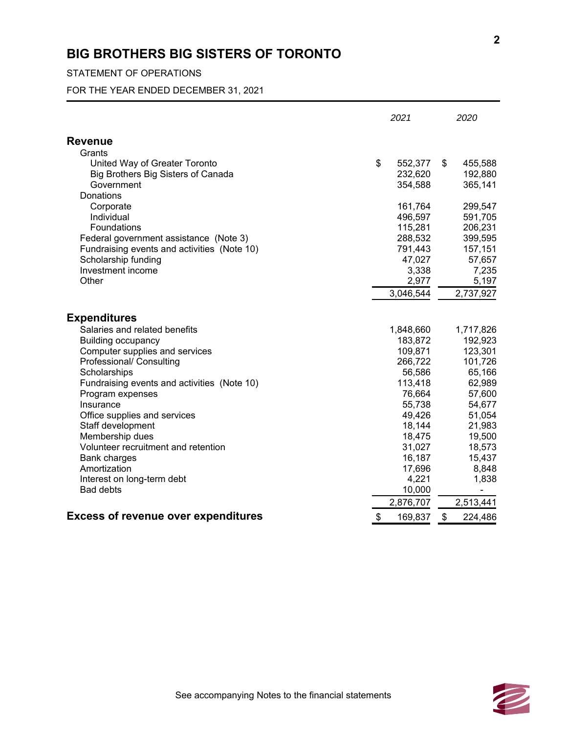## STATEMENT OF OPERATIONS

FOR THE YEAR ENDED DECEMBER 31, 2021

|                                                                 | 2021                     | 2020                         |
|-----------------------------------------------------------------|--------------------------|------------------------------|
| <b>Revenue</b>                                                  |                          |                              |
| Grants                                                          |                          |                              |
| United Way of Greater Toronto                                   | \$<br>552,377            | \$<br>455,588                |
| Big Brothers Big Sisters of Canada                              | 232,620                  | 192,880                      |
| Government                                                      | 354,588                  | 365,141                      |
| Donations                                                       |                          |                              |
| Corporate                                                       | 161,764                  | 299,547                      |
| Individual                                                      | 496,597                  | 591,705                      |
| Foundations                                                     | 115,281                  | 206,231                      |
| Federal government assistance (Note 3)                          | 288,532                  | 399,595                      |
| Fundraising events and activities (Note 10)                     | 791,443                  | 157,151                      |
| Scholarship funding                                             | 47,027                   | 57,657                       |
| Investment income                                               | 3,338                    | 7,235                        |
| Other                                                           | 2,977                    | 5,197                        |
|                                                                 | 3,046,544                | 2,737,927                    |
| <b>Expenditures</b>                                             |                          |                              |
|                                                                 |                          |                              |
| Salaries and related benefits                                   | 1,848,660                | 1,717,826                    |
| <b>Building occupancy</b>                                       | 183,872                  | 192,923                      |
| Computer supplies and services<br>Professional/ Consulting      | 109,871<br>266,722       | 123,301<br>101,726           |
| Scholarships                                                    | 56,586                   | 65,166                       |
|                                                                 | 113,418                  | 62,989                       |
| Fundraising events and activities (Note 10)<br>Program expenses | 76,664                   | 57,600                       |
| Insurance                                                       | 55,738                   | 54,677                       |
| Office supplies and services                                    | 49,426                   | 51,054                       |
| Staff development                                               | 18,144                   | 21,983                       |
| Membership dues                                                 | 18,475                   | 19,500                       |
| Volunteer recruitment and retention                             | 31,027                   | 18,573                       |
| <b>Bank charges</b>                                             | 16,187                   | 15,437                       |
| Amortization                                                    | 17,696                   | 8,848                        |
| Interest on long-term debt                                      | 4,221                    | 1,838                        |
| <b>Bad debts</b>                                                | 10,000                   | $\qquad \qquad \blacksquare$ |
|                                                                 | 2,876,707                | 2,513,441                    |
| <b>Excess of revenue over expenditures</b>                      | $\sqrt[6]{2}$<br>169,837 | $\sqrt[6]{2}$<br>224,486     |
|                                                                 |                          |                              |

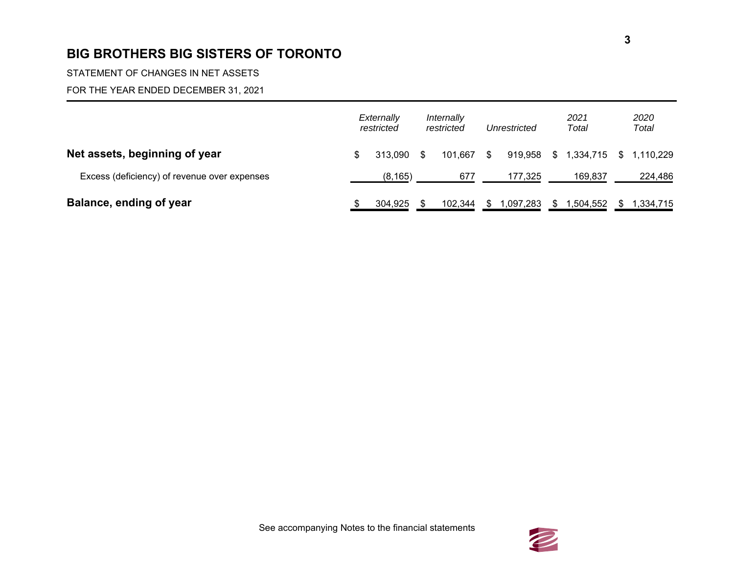STATEMENT OF CHANGES IN NET ASSETS

## FOR THE YEAR ENDED DECEMBER 31, 2021

|                                              | Externally<br>restricted |     | Internally<br>restricted |     | Unrestricted |     | 2021<br>Total             | 2020<br>Total |
|----------------------------------------------|--------------------------|-----|--------------------------|-----|--------------|-----|---------------------------|---------------|
| Net assets, beginning of year                | \$<br>313.090            | -SS | 101.667                  | \$. | 919.958      |     | $$1,334,715$ $$1,110,229$ |               |
| Excess (deficiency) of revenue over expenses | (8, 165)                 |     | 677                      |     | 177,325      |     | 169,837                   | 224,486       |
| Balance, ending of year                      | 304,925                  |     | 102,344                  | S   | 1,097,283    | SS. | 1,504,552                 | 1,334,715     |

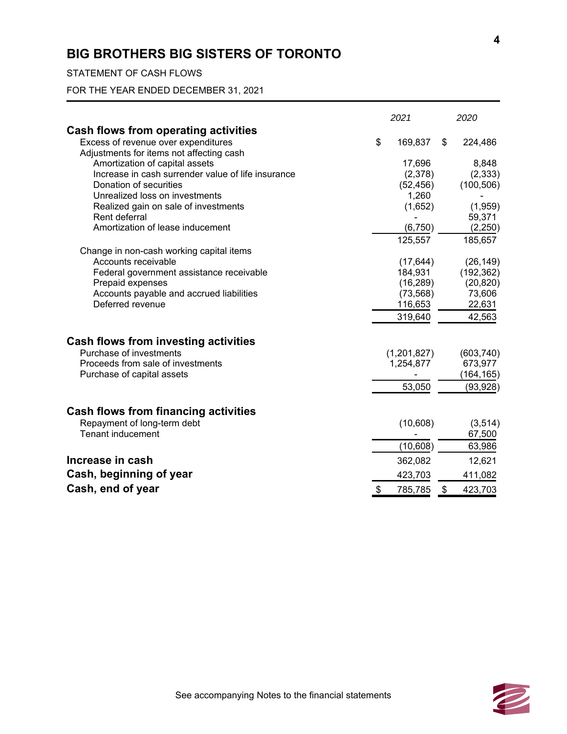## STATEMENT OF CASH FLOWS

FOR THE YEAR ENDED DECEMBER 31, 2021

|                                                                                 | 2021          | 2020          |
|---------------------------------------------------------------------------------|---------------|---------------|
| Cash flows from operating activities                                            |               |               |
| Excess of revenue over expenditures<br>Adjustments for items not affecting cash | \$<br>169,837 | \$<br>224,486 |
| Amortization of capital assets                                                  | 17,696        | 8,848         |
| Increase in cash surrender value of life insurance                              | (2,378)       | (2, 333)      |
| Donation of securities                                                          | (52, 456)     | (100, 506)    |
| Unrealized loss on investments                                                  | 1,260         |               |
| Realized gain on sale of investments                                            | (1,652)       | (1,959)       |
| Rent deferral                                                                   |               | 59,371        |
| Amortization of lease inducement                                                | (6, 750)      | (2, 250)      |
|                                                                                 | 125,557       | 185,657       |
| Change in non-cash working capital items                                        |               |               |
| Accounts receivable                                                             | (17, 644)     | (26, 149)     |
| Federal government assistance receivable                                        | 184,931       | (192, 362)    |
| Prepaid expenses                                                                | (16, 289)     | (20, 820)     |
| Accounts payable and accrued liabilities                                        | (73, 568)     | 73,606        |
| Deferred revenue                                                                | 116,653       | 22,631        |
|                                                                                 | 319,640       | 42,563        |
| <b>Cash flows from investing activities</b>                                     |               |               |
| Purchase of investments                                                         | (1,201,827)   | (603, 740)    |
| Proceeds from sale of investments                                               | 1,254,877     | 673,977       |
| Purchase of capital assets                                                      |               | (164, 165)    |
|                                                                                 | 53,050        | (93, 928)     |
| <b>Cash flows from financing activities</b>                                     |               |               |
| Repayment of long-term debt                                                     | (10,608)      | (3, 514)      |
| <b>Tenant inducement</b>                                                        |               | 67,500        |
|                                                                                 | (10, 608)     | 63,986        |
| Increase in cash                                                                | 362,082       | 12,621        |
| Cash, beginning of year                                                         | 423,703       | 411,082       |
| Cash, end of year                                                               | \$<br>785,785 | \$<br>423,703 |

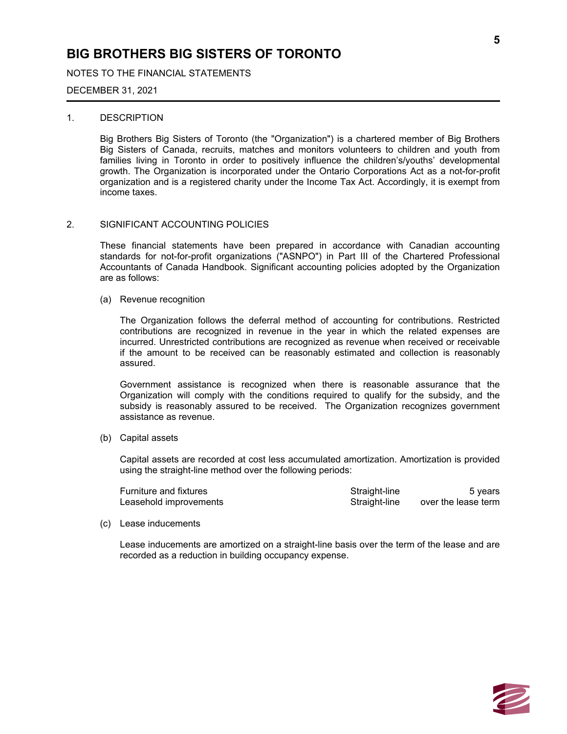NOTES TO THE FINANCIAL STATEMENTS

#### DECEMBER 31, 2021

#### 1. DESCRIPTION

Big Brothers Big Sisters of Toronto (the "Organization") is a chartered member of Big Brothers Big Sisters of Canada, recruits, matches and monitors volunteers to children and youth from families living in Toronto in order to positively influence the children's/youths' developmental growth. The Organization is incorporated under the Ontario Corporations Act as a not-for-profit organization and is a registered charity under the Income Tax Act. Accordingly, it is exempt from income taxes.

#### 2. SIGNIFICANT ACCOUNTING POLICIES

These financial statements have been prepared in accordance with Canadian accounting standards for not-for-profit organizations ("ASNPO") in Part III of the Chartered Professional Accountants of Canada Handbook. Significant accounting policies adopted by the Organization are as follows:

(a) Revenue recognition

The Organization follows the deferral method of accounting for contributions. Restricted contributions are recognized in revenue in the year in which the related expenses are incurred. Unrestricted contributions are recognized as revenue when received or receivable if the amount to be received can be reasonably estimated and collection is reasonably assured.

Government assistance is recognized when there is reasonable assurance that the Organization will comply with the conditions required to qualify for the subsidy, and the subsidy is reasonably assured to be received. The Organization recognizes government assistance as revenue.

(b) Capital assets

Capital assets are recorded at cost less accumulated amortization. Amortization is provided using the straight-line method over the following periods:

| Furniture and fixtures | Straight-line | 5 years             |
|------------------------|---------------|---------------------|
| Leasehold improvements | Straight-line | over the lease term |

#### (c) Lease inducements

Lease inducements are amortized on a straight-line basis over the term of the lease and are recorded as a reduction in building occupancy expense.

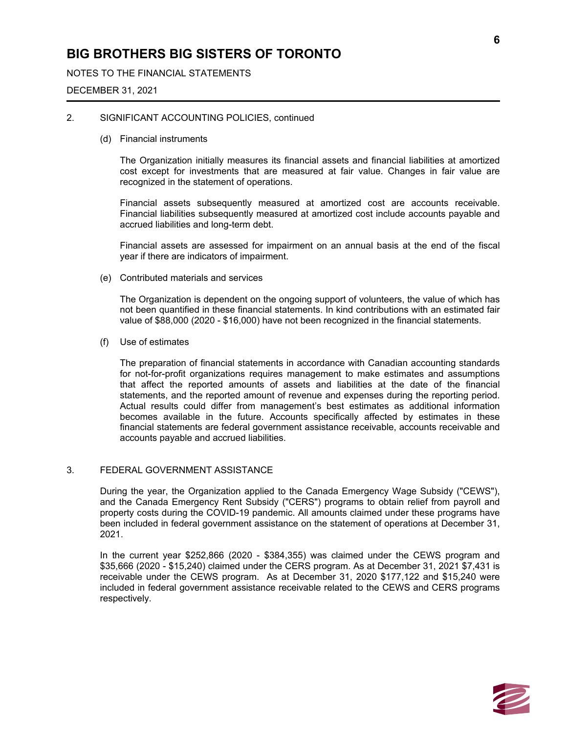## NOTES TO THE FINANCIAL STATEMENTS

#### DECEMBER 31, 2021

#### 2. SIGNIFICANT ACCOUNTING POLICIES, continued

#### (d) Financial instruments

The Organization initially measures its financial assets and financial liabilities at amortized cost except for investments that are measured at fair value. Changes in fair value are recognized in the statement of operations.

Financial assets subsequently measured at amortized cost are accounts receivable. Financial liabilities subsequently measured at amortized cost include accounts payable and accrued liabilities and long-term debt.

Financial assets are assessed for impairment on an annual basis at the end of the fiscal year if there are indicators of impairment.

(e) Contributed materials and services

The Organization is dependent on the ongoing support of volunteers, the value of which has not been quantified in these financial statements. In kind contributions with an estimated fair value of \$88,000 (2020 - \$16,000) have not been recognized in the financial statements.

(f) Use of estimates

The preparation of financial statements in accordance with Canadian accounting standards for not-for-profit organizations requires management to make estimates and assumptions that affect the reported amounts of assets and liabilities at the date of the financial statements, and the reported amount of revenue and expenses during the reporting period. Actual results could differ from management's best estimates as additional information becomes available in the future. Accounts specifically affected by estimates in these financial statements are federal government assistance receivable, accounts receivable and accounts payable and accrued liabilities.

#### 3. FEDERAL GOVERNMENT ASSISTANCE

During the year, the Organization applied to the Canada Emergency Wage Subsidy ("CEWS"), and the Canada Emergency Rent Subsidy ("CERS") programs to obtain relief from payroll and property costs during the COVID-19 pandemic. All amounts claimed under these programs have been included in federal government assistance on the statement of operations at December 31, 2021.

In the current year \$252,866 (2020 - \$384,355) was claimed under the CEWS program and \$35,666 (2020 - \$15,240) claimed under the CERS program. As at December 31, 2021 \$7,431 is receivable under the CEWS program. As at December 31, 2020 \$177,122 and \$15,240 were included in federal government assistance receivable related to the CEWS and CERS programs respectively.

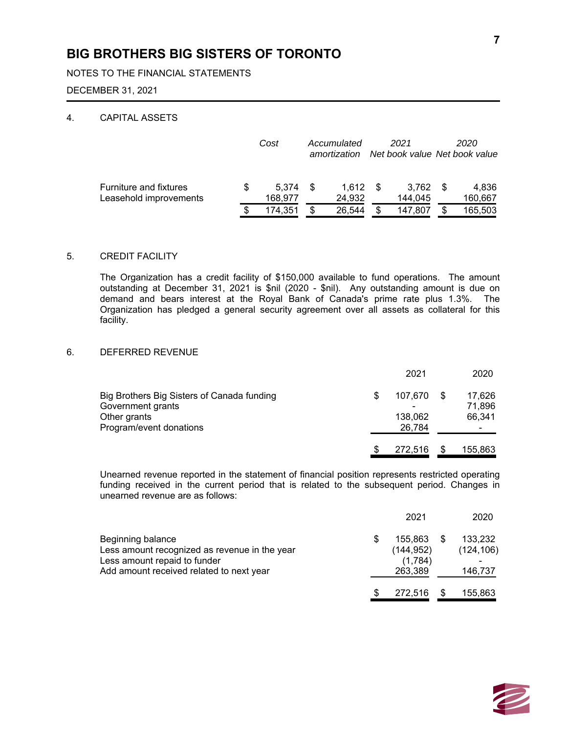NOTES TO THE FINANCIAL STATEMENTS

#### DECEMBER 31, 2021

### 4. CAPITAL ASSETS

|                                                         | Cost             |     | Accumulated<br>amortization |  | 2021<br>Net book value Net book value | 2020             |
|---------------------------------------------------------|------------------|-----|-----------------------------|--|---------------------------------------|------------------|
| <b>Furniture and fixtures</b><br>Leasehold improvements | 5.374<br>168,977 | \$. | 1.612<br>24,932             |  | 3.762<br>144.045                      | 4.836<br>160,667 |
|                                                         | 174.351          | S   | 26.544                      |  | 147.807                               | 165,503          |

### 5. CREDIT FACILITY

The Organization has a credit facility of \$150,000 available to fund operations. The amount outstanding at December 31, 2021 is \$nil (2020 - \$nil). Any outstanding amount is due on demand and bears interest at the Royal Bank of Canada's prime rate plus 1.3%. The Organization has pledged a general security agreement over all assets as collateral for this facility.

### 6. DEFERRED REVENUE

|                                            |     | 2021    | 2020    |
|--------------------------------------------|-----|---------|---------|
| Big Brothers Big Sisters of Canada funding | \$. | 107,670 | 17,626  |
| Government grants                          |     |         | 71,896  |
| Other grants                               |     | 138,062 | 66,341  |
| Program/event donations                    |     | 26,784  | ۰       |
|                                            | \$. | 272,516 | 155,863 |

Unearned revenue reported in the statement of financial position represents restricted operating funding received in the current period that is related to the subsequent period. Changes in unearned revenue are as follows:

|                                               | 2021       | 2020       |
|-----------------------------------------------|------------|------------|
| Beginning balance                             | 155.863    | 133,232    |
| Less amount recognized as revenue in the year | (144, 952) | (124, 106) |
| Less amount repaid to funder                  | (1,784)    |            |
| Add amount received related to next year      | 263,389    | 146,737    |
|                                               | 272.516    | 155,863    |

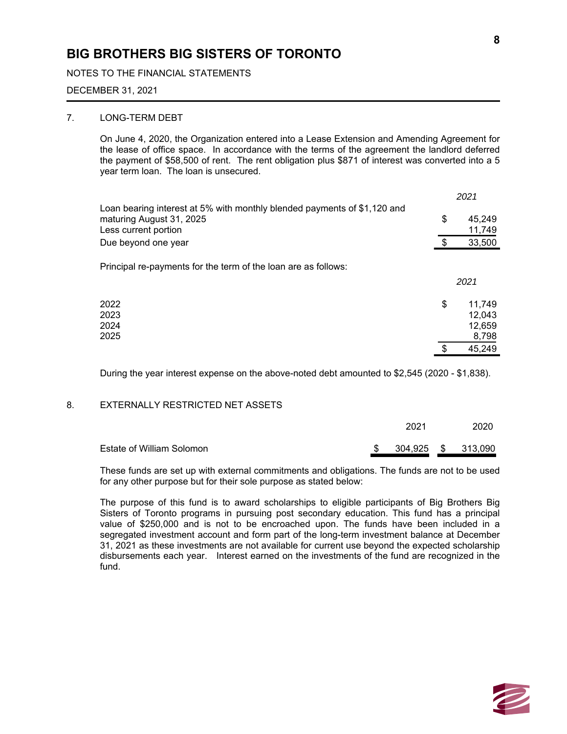NOTES TO THE FINANCIAL STATEMENTS

#### DECEMBER 31, 2021

### 7. LONG-TERM DEBT

On June 4, 2020, the Organization entered into a Lease Extension and Amending Agreement for the lease of office space. In accordance with the terms of the agreement the landlord deferred the payment of \$58,500 of rent. The rent obligation plus \$871 of interest was converted into a 5 year term loan. The loan is unsecured.

|                                                                                                                              | 2021                                      |
|------------------------------------------------------------------------------------------------------------------------------|-------------------------------------------|
| Loan bearing interest at 5% with monthly blended payments of \$1,120 and<br>maturing August 31, 2025<br>Less current portion | \$<br>45,249<br>11,749                    |
| Due beyond one year                                                                                                          | \$<br>33,500                              |
| Principal re-payments for the term of the loan are as follows:                                                               | 2021                                      |
| 2022<br>2023<br>2024<br>2025                                                                                                 | \$<br>11,749<br>12.043<br>12,659<br>8,798 |
|                                                                                                                              | \$<br>45,249                              |

During the year interest expense on the above-noted debt amounted to \$2,545 (2020 - \$1,838).

#### 8. EXTERNALLY RESTRICTED NET ASSETS

|                           | 2021 |  |  | 2020               |  |
|---------------------------|------|--|--|--------------------|--|
| Estate of William Solomon |      |  |  | 304,925 \$ 313,090 |  |

These funds are set up with external commitments and obligations. The funds are not to be used for any other purpose but for their sole purpose as stated below:

The purpose of this fund is to award scholarships to eligible participants of Big Brothers Big Sisters of Toronto programs in pursuing post secondary education. This fund has a principal value of \$250,000 and is not to be encroached upon. The funds have been included in a segregated investment account and form part of the long-term investment balance at December 31, 2021 as these investments are not available for current use beyond the expected scholarship disbursements each year. Interest earned on the investments of the fund are recognized in the fund.

**8**

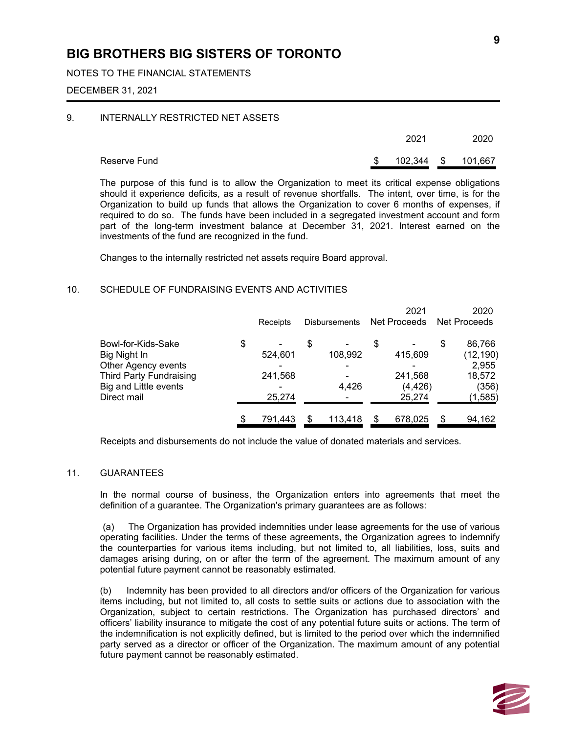### NOTES TO THE FINANCIAL STATEMENTS

#### DECEMBER 31, 2021

#### 9. INTERNALLY RESTRICTED NET ASSETS

|              | 2021       | 2020    |
|--------------|------------|---------|
| Reserve Fund | 102,344 \$ | 101,667 |

The purpose of this fund is to allow the Organization to meet its critical expense obligations should it experience deficits, as a result of revenue shortfalls. The intent, over time, is for the Organization to build up funds that allows the Organization to cover 6 months of expenses, if required to do so. The funds have been included in a segregated investment account and form part of the long-term investment balance at December 31, 2021. Interest earned on the investments of the fund are recognized in the fund.

Changes to the internally restricted net assets require Board approval.

#### 10. SCHEDULE OF FUNDRAISING EVENTS AND ACTIVITIES

|                                                                                                                                     | Receipts                           |   | <b>Disbursements</b>                         |   | 2021<br>Net Proceeds                     | 2020<br>Net Proceeds                                             |
|-------------------------------------------------------------------------------------------------------------------------------------|------------------------------------|---|----------------------------------------------|---|------------------------------------------|------------------------------------------------------------------|
| Bowl-for-Kids-Sake<br>Big Night In<br>Other Agency events<br><b>Third Party Fundraising</b><br>Big and Little events<br>Direct mail | \$<br>524,601<br>241,568<br>25,274 | S | 108,992<br>$\overline{\phantom{0}}$<br>4,426 | S | 415,609<br>241,568<br>(4, 426)<br>25,274 | \$<br>86,766<br>(12, 190)<br>2,955<br>18,572<br>(356)<br>(1,585) |
|                                                                                                                                     | 791,443                            |   | 113,418                                      | S | 678,025                                  | \$<br>94,162                                                     |

Receipts and disbursements do not include the value of donated materials and services.

#### 11. GUARANTEES

In the normal course of business, the Organization enters into agreements that meet the definition of a guarantee. The Organization's primary guarantees are as follows:

 (a) The Organization has provided indemnities under lease agreements for the use of various operating facilities. Under the terms of these agreements, the Organization agrees to indemnify the counterparties for various items including, but not limited to, all liabilities, loss, suits and damages arising during, on or after the term of the agreement. The maximum amount of any potential future payment cannot be reasonably estimated.

(b) Indemnity has been provided to all directors and/or officers of the Organization for various items including, but not limited to, all costs to settle suits or actions due to association with the Organization, subject to certain restrictions. The Organization has purchased directors' and officers' liability insurance to mitigate the cost of any potential future suits or actions. The term of the indemnification is not explicitly defined, but is limited to the period over which the indemnified party served as a director or officer of the Organization. The maximum amount of any potential future payment cannot be reasonably estimated.

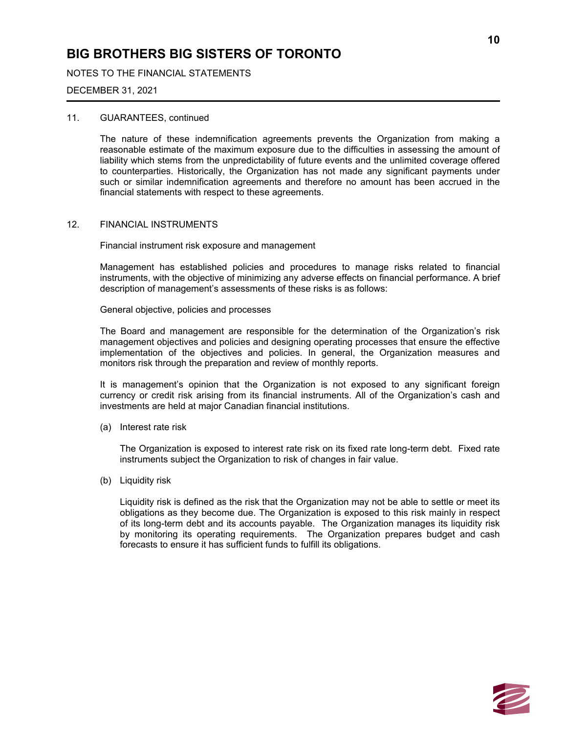NOTES TO THE FINANCIAL STATEMENTS

#### DECEMBER 31, 2021

#### 11. GUARANTEES, continued

The nature of these indemnification agreements prevents the Organization from making a reasonable estimate of the maximum exposure due to the difficulties in assessing the amount of liability which stems from the unpredictability of future events and the unlimited coverage offered to counterparties. Historically, the Organization has not made any significant payments under such or similar indemnification agreements and therefore no amount has been accrued in the financial statements with respect to these agreements.

#### 12. FINANCIAL INSTRUMENTS

Financial instrument risk exposure and management

Management has established policies and procedures to manage risks related to financial instruments, with the objective of minimizing any adverse effects on financial performance. A brief description of management's assessments of these risks is as follows:

General objective, policies and processes

The Board and management are responsible for the determination of the Organization's risk management objectives and policies and designing operating processes that ensure the effective implementation of the objectives and policies. In general, the Organization measures and monitors risk through the preparation and review of monthly reports.

It is management's opinion that the Organization is not exposed to any significant foreign currency or credit risk arising from its financial instruments. All of the Organization's cash and investments are held at major Canadian financial institutions.

(a) Interest rate risk

The Organization is exposed to interest rate risk on its fixed rate long-term debt. Fixed rate instruments subject the Organization to risk of changes in fair value.

(b) Liquidity risk

Liquidity risk is defined as the risk that the Organization may not be able to settle or meet its obligations as they become due. The Organization is exposed to this risk mainly in respect of its long-term debt and its accounts payable. The Organization manages its liquidity risk by monitoring its operating requirements. The Organization prepares budget and cash forecasts to ensure it has sufficient funds to fulfill its obligations.